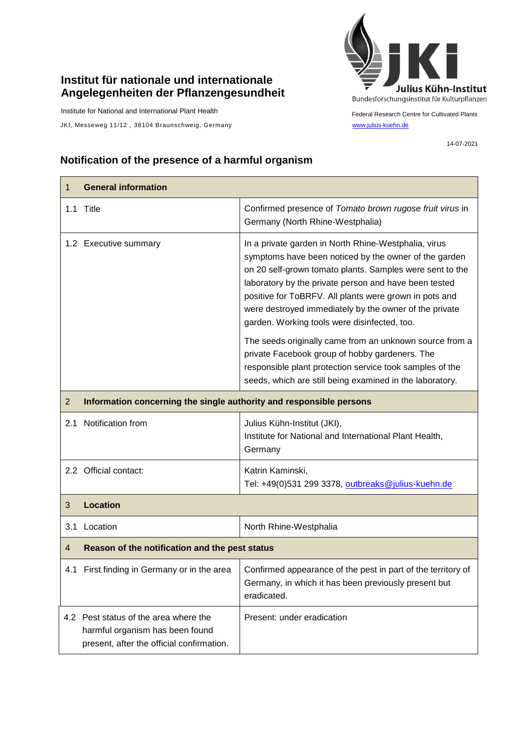## **Institut für nationale und internationale Angelegenheiten der Pflanzengesundheit**

Institute for National and International Plant Health

JKI, Messeweg 11/12, 38104 Braunschweig, Germany [www.julius-kuehn.de](http://www.julius-kuehn.de/)



Federal Research Centre for Cultivated Plants

14-07-2021

## **Notification of the presence of a harmful organism**

| 1              | <b>General information</b>                                                                                            |                                                                                                                                                                                                                                                                                                                                                                                                        |  |
|----------------|-----------------------------------------------------------------------------------------------------------------------|--------------------------------------------------------------------------------------------------------------------------------------------------------------------------------------------------------------------------------------------------------------------------------------------------------------------------------------------------------------------------------------------------------|--|
|                | 1.1 Title                                                                                                             | Confirmed presence of Tomato brown rugose fruit virus in<br>Germany (North Rhine-Westphalia)                                                                                                                                                                                                                                                                                                           |  |
|                | 1.2 Executive summary                                                                                                 | In a private garden in North Rhine-Westphalia, virus<br>symptoms have been noticed by the owner of the garden<br>on 20 self-grown tomato plants. Samples were sent to the<br>laboratory by the private person and have been tested<br>positive for ToBRFV. All plants were grown in pots and<br>were destroyed immediately by the owner of the private<br>garden. Working tools were disinfected, too. |  |
|                |                                                                                                                       | The seeds originally came from an unknown source from a<br>private Facebook group of hobby gardeners. The<br>responsible plant protection service took samples of the<br>seeds, which are still being examined in the laboratory.                                                                                                                                                                      |  |
| $\overline{2}$ | Information concerning the single authority and responsible persons                                                   |                                                                                                                                                                                                                                                                                                                                                                                                        |  |
| 2.1            | Notification from                                                                                                     | Julius Kühn-Institut (JKI),<br>Institute for National and International Plant Health,<br>Germany                                                                                                                                                                                                                                                                                                       |  |
|                | 2.2 Official contact:                                                                                                 | Katrin Kaminski,<br>Tel: +49(0)531 299 3378, outbreaks@julius-kuehn.de                                                                                                                                                                                                                                                                                                                                 |  |
| 3              | <b>Location</b>                                                                                                       |                                                                                                                                                                                                                                                                                                                                                                                                        |  |
| 3.1            | Location                                                                                                              | North Rhine-Westphalia                                                                                                                                                                                                                                                                                                                                                                                 |  |
| 4              | Reason of the notification and the pest status                                                                        |                                                                                                                                                                                                                                                                                                                                                                                                        |  |
|                | 4.1 First finding in Germany or in the area                                                                           | Confirmed appearance of the pest in part of the territory of<br>Germany, in which it has been previously present but<br>eradicated.                                                                                                                                                                                                                                                                    |  |
|                | 4.2 Pest status of the area where the<br>harmful organism has been found<br>present, after the official confirmation. | Present: under eradication                                                                                                                                                                                                                                                                                                                                                                             |  |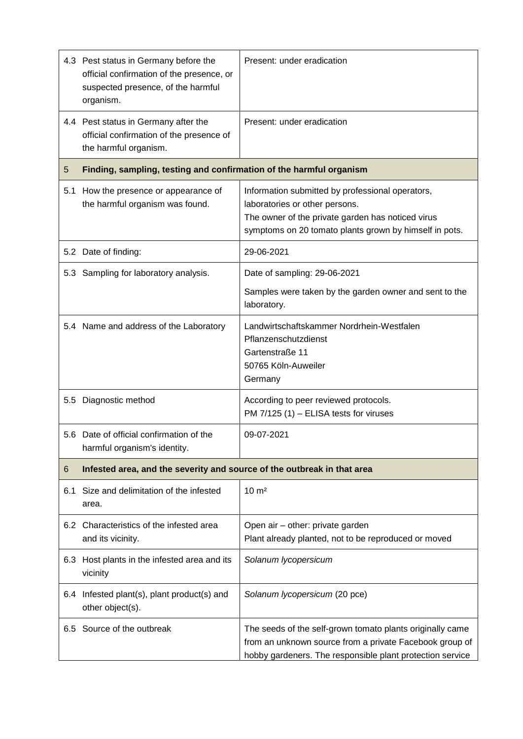|     | 4.3 Pest status in Germany before the<br>official confirmation of the presence, or<br>suspected presence, of the harmful<br>organism. | Present: under eradication                                                                                                                                                                        |  |
|-----|---------------------------------------------------------------------------------------------------------------------------------------|---------------------------------------------------------------------------------------------------------------------------------------------------------------------------------------------------|--|
|     | 4.4 Pest status in Germany after the<br>official confirmation of the presence of<br>the harmful organism.                             | Present: under eradication                                                                                                                                                                        |  |
| 5   | Finding, sampling, testing and confirmation of the harmful organism                                                                   |                                                                                                                                                                                                   |  |
| 5.1 | How the presence or appearance of<br>the harmful organism was found.                                                                  | Information submitted by professional operators,<br>laboratories or other persons.<br>The owner of the private garden has noticed virus<br>symptoms on 20 tomato plants grown by himself in pots. |  |
|     | 5.2 Date of finding:                                                                                                                  | 29-06-2021                                                                                                                                                                                        |  |
|     | 5.3 Sampling for laboratory analysis.                                                                                                 | Date of sampling: 29-06-2021                                                                                                                                                                      |  |
|     |                                                                                                                                       | Samples were taken by the garden owner and sent to the<br>laboratory.                                                                                                                             |  |
|     | 5.4 Name and address of the Laboratory                                                                                                | Landwirtschaftskammer Nordrhein-Westfalen<br>Pflanzenschutzdienst<br>Gartenstraße 11<br>50765 Köln-Auweiler<br>Germany                                                                            |  |
|     | 5.5 Diagnostic method                                                                                                                 | According to peer reviewed protocols.<br>PM 7/125 (1) - ELISA tests for viruses                                                                                                                   |  |
|     | 5.6 Date of official confirmation of the<br>harmful organism's identity.                                                              | 09-07-2021                                                                                                                                                                                        |  |
| 6   | Infested area, and the severity and source of the outbreak in that area                                                               |                                                                                                                                                                                                   |  |
| 6.1 | Size and delimitation of the infested<br>area.                                                                                        | $10 \text{ m}^2$                                                                                                                                                                                  |  |
|     | 6.2 Characteristics of the infested area<br>and its vicinity.                                                                         | Open air - other: private garden<br>Plant already planted, not to be reproduced or moved                                                                                                          |  |
|     | 6.3 Host plants in the infested area and its<br>vicinity                                                                              | Solanum lycopersicum                                                                                                                                                                              |  |
|     | 6.4 Infested plant(s), plant product(s) and<br>other object(s).                                                                       | Solanum lycopersicum (20 pce)                                                                                                                                                                     |  |
|     | 6.5 Source of the outbreak                                                                                                            | The seeds of the self-grown tomato plants originally came<br>from an unknown source from a private Facebook group of<br>hobby gardeners. The responsible plant protection service                 |  |